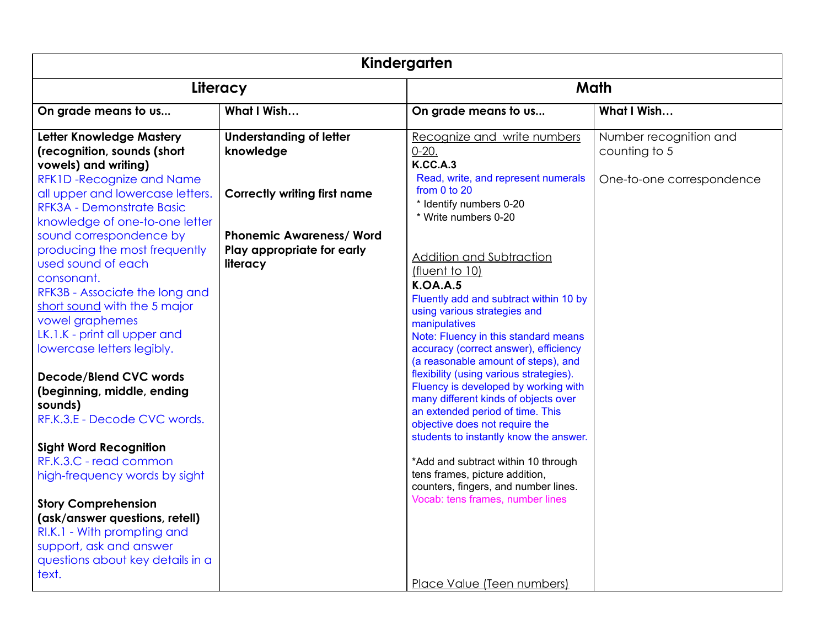| Kindergarten                                                                                                                                                                                                                                                                                                                                                                                                                                                                                                                                                                                                                                                                                                                                                                                                                          |                                                                                                                                                                 |                                                                                                                                                                                                                                                                                                                                                                                                                                                                                                                                                                                                                                                                                                                                                                                                                                                                |                                                                      |
|---------------------------------------------------------------------------------------------------------------------------------------------------------------------------------------------------------------------------------------------------------------------------------------------------------------------------------------------------------------------------------------------------------------------------------------------------------------------------------------------------------------------------------------------------------------------------------------------------------------------------------------------------------------------------------------------------------------------------------------------------------------------------------------------------------------------------------------|-----------------------------------------------------------------------------------------------------------------------------------------------------------------|----------------------------------------------------------------------------------------------------------------------------------------------------------------------------------------------------------------------------------------------------------------------------------------------------------------------------------------------------------------------------------------------------------------------------------------------------------------------------------------------------------------------------------------------------------------------------------------------------------------------------------------------------------------------------------------------------------------------------------------------------------------------------------------------------------------------------------------------------------------|----------------------------------------------------------------------|
| Literacy                                                                                                                                                                                                                                                                                                                                                                                                                                                                                                                                                                                                                                                                                                                                                                                                                              |                                                                                                                                                                 |                                                                                                                                                                                                                                                                                                                                                                                                                                                                                                                                                                                                                                                                                                                                                                                                                                                                | Math                                                                 |
| On grade means to us                                                                                                                                                                                                                                                                                                                                                                                                                                                                                                                                                                                                                                                                                                                                                                                                                  | What I Wish                                                                                                                                                     | On grade means to us                                                                                                                                                                                                                                                                                                                                                                                                                                                                                                                                                                                                                                                                                                                                                                                                                                           | What I Wish                                                          |
| Letter Knowledge Mastery<br>(recognition, sounds (short<br>vowels) and writing)<br>RFK1D-Recognize and Name<br>all upper and lowercase letters.<br>RFK3A - Demonstrate Basic<br>knowledge of one-to-one letter<br>sound correspondence by<br>producing the most frequently<br>used sound of each<br>consonant.<br>RFK3B - Associate the long and<br>short sound with the 5 major<br>vowel graphemes<br>LK.1.K - print all upper and<br>lowercase letters legibly.<br><b>Decode/Blend CVC words</b><br>(beginning, middle, ending<br>sounds)<br>RF.K.3.E - Decode CVC words.<br><b>Sight Word Recognition</b><br>RF.K.3.C - read common<br>high-frequency words by sight<br><b>Story Comprehension</b><br>(ask/answer questions, retell)<br>RI.K.1 - With prompting and<br>support, ask and answer<br>questions about key details in a | <b>Understanding of letter</b><br>knowledge<br><b>Correctly writing first name</b><br><b>Phonemic Awareness/ Word</b><br>Play appropriate for early<br>literacy | Recognize and write numbers<br>$0-20.$<br><b>K.CC.A.3</b><br>Read, write, and represent numerals<br>from 0 to 20<br>* Identify numbers 0-20<br>* Write numbers 0-20<br><b>Addition and Subtraction</b><br>(fluent to 10)<br><b>K.OA.A.5</b><br>Fluently add and subtract within 10 by<br>using various strategies and<br>manipulatives<br>Note: Fluency in this standard means<br>accuracy (correct answer), efficiency<br>(a reasonable amount of steps), and<br>flexibility (using various strategies).<br>Fluency is developed by working with<br>many different kinds of objects over<br>an extended period of time. This<br>objective does not require the<br>students to instantly know the answer.<br>*Add and subtract within 10 through<br>tens frames, picture addition,<br>counters, fingers, and number lines.<br>Vocab: tens frames, number lines | Number recognition and<br>counting to 5<br>One-to-one correspondence |
| text.                                                                                                                                                                                                                                                                                                                                                                                                                                                                                                                                                                                                                                                                                                                                                                                                                                 |                                                                                                                                                                 | Place Value (Teen numbers)                                                                                                                                                                                                                                                                                                                                                                                                                                                                                                                                                                                                                                                                                                                                                                                                                                     |                                                                      |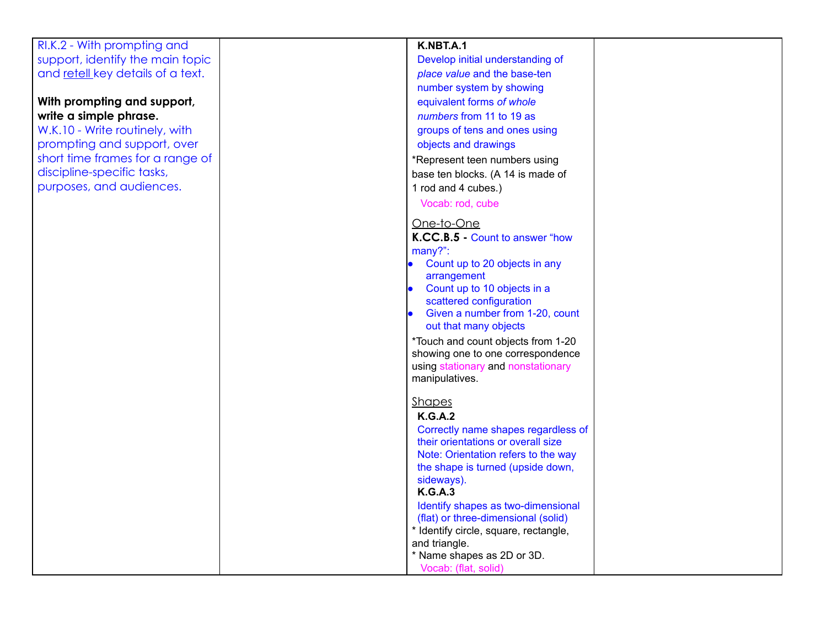RI.K.2 - With prompting and support, identify the main topic and retell key details of a text.

## **With prompting and support, write a simple phrase.**

W.K.10 - Write routinely, with prompting and support, over short time frames for a range o f discipline-specific tasks, purposes, and audiences

| nd      | K.NBT.A.1                                                                    |  |
|---------|------------------------------------------------------------------------------|--|
| n topic | Develop initial understanding of                                             |  |
| a text. | place value and the base-ten                                                 |  |
|         | number system by showing                                                     |  |
| ort,    | equivalent forms of whole                                                    |  |
|         | numbers from 11 to 19 as                                                     |  |
| vith    | groups of tens and ones using                                                |  |
| over    | objects and drawings                                                         |  |
| inge of | *Represent teen numbers using                                                |  |
|         | base ten blocks. (A 14 is made of                                            |  |
| S.      | 1 rod and 4 cubes.)                                                          |  |
|         | Vocab: rod, cube                                                             |  |
|         | <u>One-to-One</u>                                                            |  |
|         | K.CC.B.5 - Count to answer "how                                              |  |
|         | many?":                                                                      |  |
|         | Count up to 20 objects in any                                                |  |
|         | arrangement                                                                  |  |
|         | Count up to 10 objects in a<br>$\bullet$                                     |  |
|         | scattered configuration                                                      |  |
|         | Given a number from 1-20, count<br>out that many objects                     |  |
|         | *Touch and count objects from 1-20                                           |  |
|         | showing one to one correspondence                                            |  |
|         | using stationary and nonstationary                                           |  |
|         | manipulatives.                                                               |  |
|         | <b>Shapes</b>                                                                |  |
|         | <b>K.G.A.2</b>                                                               |  |
|         | Correctly name shapes regardless of                                          |  |
|         | their orientations or overall size                                           |  |
|         | Note: Orientation refers to the way                                          |  |
|         | the shape is turned (upside down,                                            |  |
|         | sideways).                                                                   |  |
|         | <b>K.G.A.3</b>                                                               |  |
|         | Identify shapes as two-dimensional                                           |  |
|         | (flat) or three-dimensional (solid)<br>* Identify circle, square, rectangle, |  |
|         | and triangle.                                                                |  |
|         | * Name shapes as 2D or 3D.                                                   |  |
|         | Vocab: (flat, solid)                                                         |  |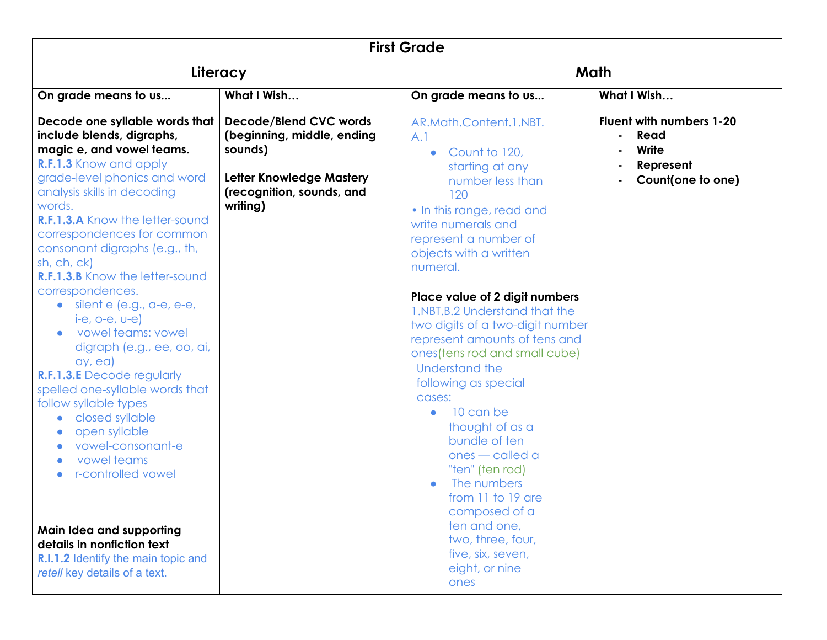| <b>First Grade</b>                                                                                                                                                                                                                                                                                                                                                                                                                                                                                                                                                                                                                                                                                        |                                                                                                                                                    |                                                                                                                                                                                                                                                                                                                                                                                                                                                                                                                                                                                                                                           |                                                                             |
|-----------------------------------------------------------------------------------------------------------------------------------------------------------------------------------------------------------------------------------------------------------------------------------------------------------------------------------------------------------------------------------------------------------------------------------------------------------------------------------------------------------------------------------------------------------------------------------------------------------------------------------------------------------------------------------------------------------|----------------------------------------------------------------------------------------------------------------------------------------------------|-------------------------------------------------------------------------------------------------------------------------------------------------------------------------------------------------------------------------------------------------------------------------------------------------------------------------------------------------------------------------------------------------------------------------------------------------------------------------------------------------------------------------------------------------------------------------------------------------------------------------------------------|-----------------------------------------------------------------------------|
|                                                                                                                                                                                                                                                                                                                                                                                                                                                                                                                                                                                                                                                                                                           | Literacy                                                                                                                                           |                                                                                                                                                                                                                                                                                                                                                                                                                                                                                                                                                                                                                                           | Math                                                                        |
| On grade means to us                                                                                                                                                                                                                                                                                                                                                                                                                                                                                                                                                                                                                                                                                      | What I Wish                                                                                                                                        | On grade means to us                                                                                                                                                                                                                                                                                                                                                                                                                                                                                                                                                                                                                      | What I Wish                                                                 |
| Decode one syllable words that<br>include blends, digraphs,<br>magic e, and vowel teams.<br>R.F.1.3 Know and apply<br>grade-level phonics and word<br>analysis skills in decoding<br>words.<br><b>R.F.1.3.A</b> Know the letter-sound<br>correspondences for common<br>consonant digraphs (e.g., th,<br>sh, ch, ck)<br><b>R.F.1.3.B</b> Know the letter-sound<br>correspondences.<br>$\bullet$ silent e (e.g., a-e, e-e,<br>$ie, o-e, v-e)$<br>vowel teams: vowel<br>digraph (e.g., ee, oo, ai,<br>ay, ea)<br><b>R.F.1.3.E</b> Decode regularly<br>spelled one-syllable words that<br>follow syllable types<br>closed syllable<br>open syllable<br>vowel-consonant-e<br>vowel teams<br>r-controlled vowel | <b>Decode/Blend CVC words</b><br>(beginning, middle, ending<br>sounds)<br><b>Letter Knowledge Mastery</b><br>(recognition, sounds, and<br>writing) | AR.Math.Content.1.NBT.<br>A.1<br>Count to 120,<br>$\bullet$<br>starting at any<br>number less than<br>120<br>• In this range, read and<br>write numerals and<br>represent a number of<br>objects with a written<br>numeral.<br>Place value of 2 digit numbers<br>1.NBT.B.2 Understand that the<br>two digits of a two-digit number<br>represent amounts of tens and<br>ones (tens rod and small cube)<br><b>Understand the</b><br>following as special<br>cases:<br>10 can be<br>$\bullet$<br>thought of as a<br>bundle of ten<br>ones - called a<br>"ten" (ten rod)<br>The numbers<br>from 11 to 19 are<br>composed of a<br>ten and one, | Fluent with numbers 1-20<br>Read<br>Write<br>Represent<br>Count(one to one) |
| Main Idea and supporting<br>details in nonfiction text<br><b>R.I.1.2</b> Identify the main topic and<br>retell key details of a text.                                                                                                                                                                                                                                                                                                                                                                                                                                                                                                                                                                     |                                                                                                                                                    | two, three, four,<br>five, six, seven,<br>eight, or nine<br>ones                                                                                                                                                                                                                                                                                                                                                                                                                                                                                                                                                                          |                                                                             |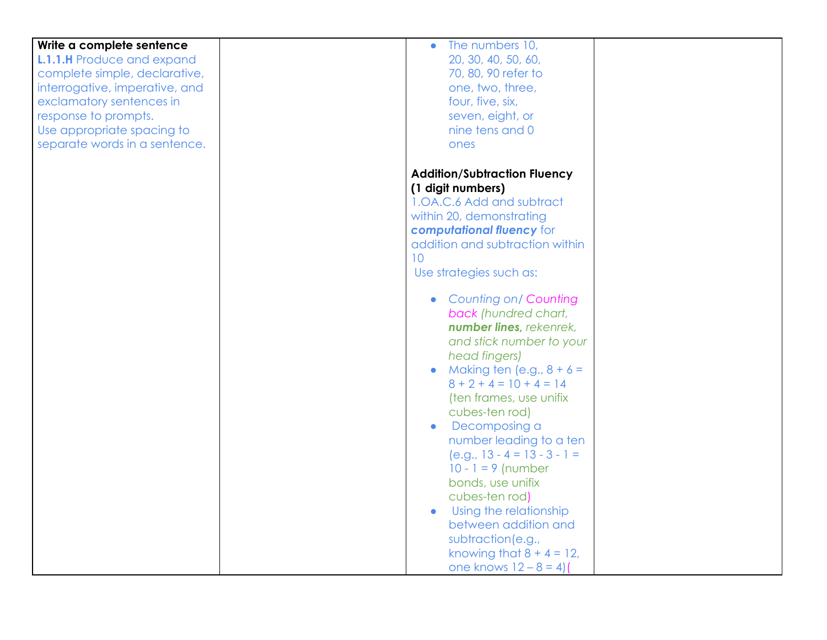| Write a complete sentence<br><b>L.1.1.H</b> Produce and expand<br>complete simple, declarative,<br>interrogative, imperative, and<br>exclamatory sentences in<br>response to prompts.<br>Use appropriate spacing to<br>separate words in a sentence. | The numbers 10,<br>$\bullet$<br>20, 30, 40, 50, 60,<br>70, 80, 90 refer to<br>one, two, three,<br>four, five, six,<br>seven, eight, or<br>nine tens and 0<br>ones                                                                                                                                                                                                                                                                                                                                                                                                                                                                                                                                                                                                  |  |
|------------------------------------------------------------------------------------------------------------------------------------------------------------------------------------------------------------------------------------------------------|--------------------------------------------------------------------------------------------------------------------------------------------------------------------------------------------------------------------------------------------------------------------------------------------------------------------------------------------------------------------------------------------------------------------------------------------------------------------------------------------------------------------------------------------------------------------------------------------------------------------------------------------------------------------------------------------------------------------------------------------------------------------|--|
|                                                                                                                                                                                                                                                      | <b>Addition/Subtraction Fluency</b><br>(1 digit numbers)<br>1.0A.C.6 Add and subtract<br>within 20, demonstrating<br>computational fluency for<br>addition and subtraction within<br>10 <sup>°</sup><br>Use strategies such as:<br><b>Counting on/ Counting</b><br>$\bullet$<br>back (hundred chart,<br>number lines, rekenrek,<br>and stick number to your<br>head fingers)<br>Making ten (e.g., $8 + 6 =$<br>$8 + 2 + 4 = 10 + 4 = 14$<br>(ten frames, use unifix<br>cubes-ten rod)<br>Decomposing a<br>number leading to a ten<br>$(e.g., 13 - 4 = 13 - 3 - 1 =$<br>$10 - 1 = 9$ (number<br>bonds, use unifix<br>cubes-ten rod)<br>Using the relationship<br>between addition and<br>subtraction(e.g.,<br>knowing that $8 + 4 = 12$ ,<br>one knows $12 - 8 = 4$ |  |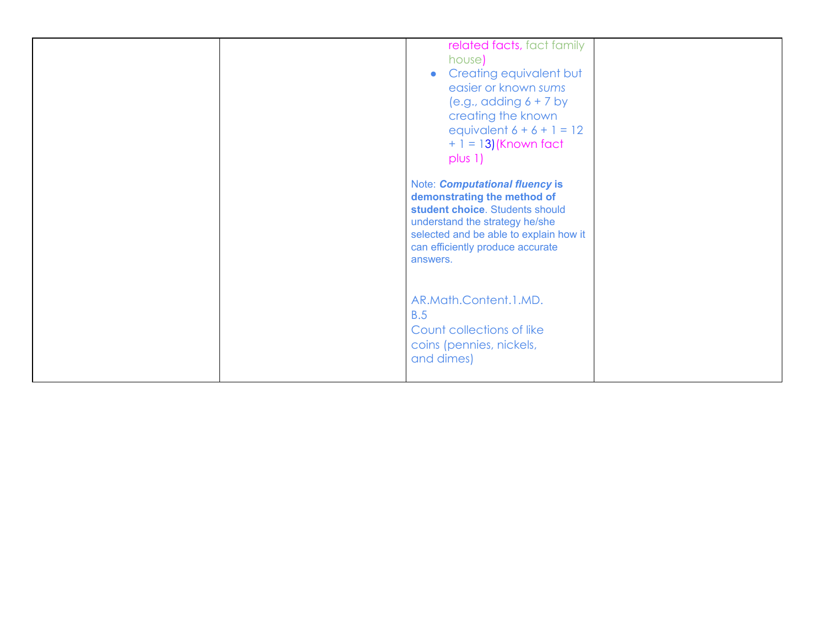| related facts, fact family<br>house)<br>Creating equivalent but<br>$\bullet$<br>easier or known sums<br>(e.g., adding $6 + 7$ by<br>creating the known<br>equivalent $6 + 6 + 1 = 12$<br>$+ 1 = 13$ ) (Known fact<br>plus 1) |
|------------------------------------------------------------------------------------------------------------------------------------------------------------------------------------------------------------------------------|
| Note: Computational fluency is<br>demonstrating the method of<br>student choice. Students should<br>understand the strategy he/she<br>selected and be able to explain how it<br>can efficiently produce accurate<br>answers. |
| AR.Math.Content.1.MD.<br>B.5<br>Count collections of like<br>coins (pennies, nickels,<br>and dimes)                                                                                                                          |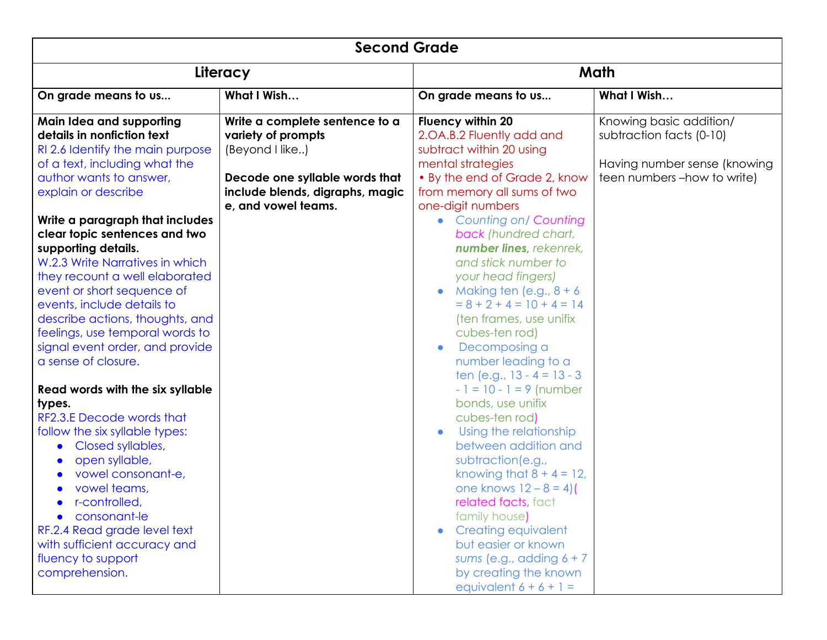| <b>Second Grade</b>                                                                                                                                                                                                                                                                                                                                                                                                                                                                                                                                                                                                                                                                                                       |                                                                                                                                              |                                                                                                                                                                                                                                                                                                                                                                                                                                                                                                                                                                                                                                                                                                                                                       |                                                                                                                    |
|---------------------------------------------------------------------------------------------------------------------------------------------------------------------------------------------------------------------------------------------------------------------------------------------------------------------------------------------------------------------------------------------------------------------------------------------------------------------------------------------------------------------------------------------------------------------------------------------------------------------------------------------------------------------------------------------------------------------------|----------------------------------------------------------------------------------------------------------------------------------------------|-------------------------------------------------------------------------------------------------------------------------------------------------------------------------------------------------------------------------------------------------------------------------------------------------------------------------------------------------------------------------------------------------------------------------------------------------------------------------------------------------------------------------------------------------------------------------------------------------------------------------------------------------------------------------------------------------------------------------------------------------------|--------------------------------------------------------------------------------------------------------------------|
| Literacy                                                                                                                                                                                                                                                                                                                                                                                                                                                                                                                                                                                                                                                                                                                  |                                                                                                                                              | Math                                                                                                                                                                                                                                                                                                                                                                                                                                                                                                                                                                                                                                                                                                                                                  |                                                                                                                    |
| On grade means to us                                                                                                                                                                                                                                                                                                                                                                                                                                                                                                                                                                                                                                                                                                      | What I Wish                                                                                                                                  | On grade means to us                                                                                                                                                                                                                                                                                                                                                                                                                                                                                                                                                                                                                                                                                                                                  | What I Wish                                                                                                        |
| Main Idea and supporting<br>details in nonfiction text<br>RI 2.6 Identify the main purpose<br>of a text, including what the<br>author wants to answer,<br>explain or describe                                                                                                                                                                                                                                                                                                                                                                                                                                                                                                                                             | Write a complete sentence to a<br>variety of prompts<br>(Beyond I like)<br>Decode one syllable words that<br>include blends, digraphs, magic | <b>Fluency within 20</b><br>2.OA.B.2 Fluently add and<br>subtract within 20 using<br>mental strategies<br>• By the end of Grade 2, know<br>from memory all sums of two                                                                                                                                                                                                                                                                                                                                                                                                                                                                                                                                                                                | Knowing basic addition/<br>subtraction facts (0-10)<br>Having number sense (knowing<br>teen numbers -how to write) |
| Write a paragraph that includes<br>clear topic sentences and two<br>supporting details.<br>W.2.3 Write Narratives in which<br>they recount a well elaborated<br>event or short sequence of<br>events, include details to<br>describe actions, thoughts, and<br>feelings, use temporal words to<br>signal event order, and provide<br>a sense of closure.<br>Read words with the six syllable<br>types.<br>RF2.3.E Decode words that<br>follow the six syllable types:<br>Closed syllables,<br>$\bullet$<br>open syllable,<br>$\bullet$<br>vowel consonant-e,<br>vowel teams,<br>• r-controlled,<br>• consonant-le<br>RF.2.4 Read grade level text<br>with sufficient accuracy and<br>fluency to support<br>comprehension. | e, and vowel teams.                                                                                                                          | one-digit numbers<br><b>Counting on/ Counting</b><br>$\bullet$<br>back (hundred chart,<br>number lines, rekenrek,<br>and stick number to<br>your head fingers)<br>Making ten $(e.g., 8 + 6)$<br>$= 8 + 2 + 4 = 10 + 4 = 14$<br>(ten frames, use unifix<br>cubes-ten rod)<br>Decomposing a<br>$\bullet$<br>number leading to a<br>ten (e.g., $13 - 4 = 13 - 3$ )<br>$-1 = 10 - 1 = 9$ (number<br>bonds, use unifix<br>cubes-ten rod)<br>Using the relationship<br>between addition and<br>subtraction(e.g.,<br>knowing that $8 + 4 = 12$ ,<br>one knows $12 - 8 = 4$ )<br>related facts, fact<br>family house)<br><b>Creating equivalent</b><br>but easier or known<br>sums (e.g., adding $6 + 7$<br>by creating the known<br>equivalent $6 + 6 + 1 =$ |                                                                                                                    |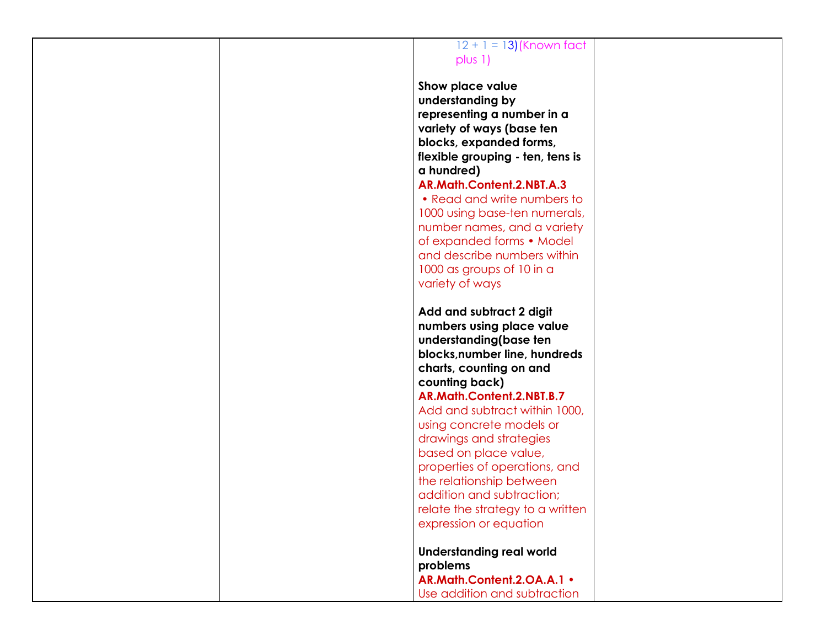## $12 + 1 = 13$ ) (Known fact plus 1)

**Show place value understanding by representing a number in a variety of ways (base ten blocks, expanded forms, flexible grouping - ten, tens is a hundred) AR.Math.Content.2.NBT.A.3**

• Read and write numbers to 1000 using base-ten numerals, number names, and a variety of expanded forms • Model and describe numbers within 1000 as groups of 10 in a variety of ways

**Add and subtract 2 digit numbers using place value understanding(base ten blocks,number line, hundreds charts, counting on and counting back) AR.Math.Content.2.NBT.B.7** Add and subtract within 1000, using concrete models or drawings and strategies based on place value, properties of operations, and the relationship between addition and subtraction; relate the strategy to a written expression or equation

**Understanding real world problems AR.Math.Content.2.OA.A.1** • Use addition and subtraction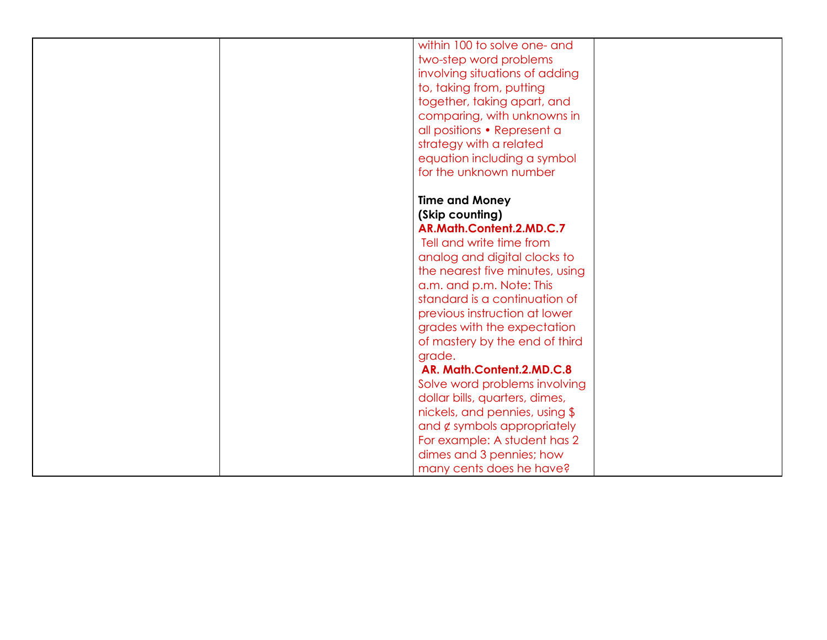| within 100 to solve one- and                              |
|-----------------------------------------------------------|
| two-step word problems                                    |
| involving situations of adding                            |
| to, taking from, putting                                  |
| together, taking apart, and                               |
| comparing, with unknowns in                               |
| all positions • Represent a                               |
| strategy with a related                                   |
| equation including a symbol                               |
| for the unknown number                                    |
|                                                           |
| <b>Time and Money</b>                                     |
| (Skip counting)                                           |
| AR.Math.Content.2.MD.C.7                                  |
| Tell and write time from                                  |
| analog and digital clocks to                              |
| the nearest five minutes, using                           |
|                                                           |
| a.m. and p.m. Note: This<br>standard is a continuation of |
|                                                           |
| previous instruction at lower                             |
| grades with the expectation                               |
| of mastery by the end of third                            |
| grade.                                                    |
| AR. Math.Content.2.MD.C.8                                 |
| Solve word problems involving                             |
| dollar bills, quarters, dimes,                            |
| nickels, and pennies, using \$                            |
| and $\notin$ symbols appropriately                        |
| For example: A student has 2                              |
| dimes and 3 pennies; how                                  |
| many cents does he have?                                  |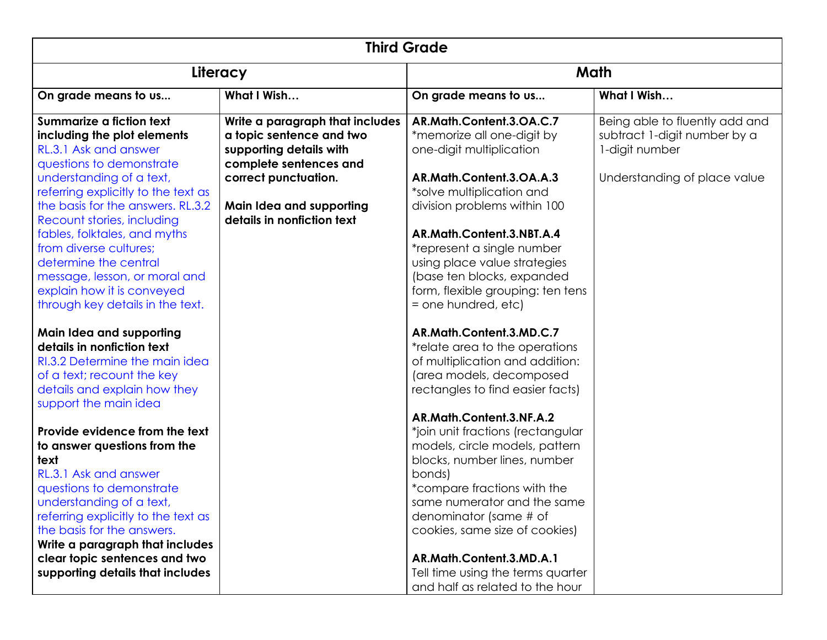| <b>Third Grade</b>                  |                                 |                                   |                                |
|-------------------------------------|---------------------------------|-----------------------------------|--------------------------------|
| Literacy                            |                                 | Math                              |                                |
| On grade means to us                | What I Wish                     | On grade means to us              | What I Wish                    |
| Summarize a fiction text            | Write a paragraph that includes | AR.Math.Content.3.OA.C.7          | Being able to fluently add and |
| including the plot elements         | a topic sentence and two        | *memorize all one-digit by        | subtract 1-digit number by a   |
| RL.3.1 Ask and answer               | supporting details with         | one-digit multiplication          | 1-digit number                 |
| questions to demonstrate            | complete sentences and          |                                   |                                |
| understanding of a text,            | correct punctuation.            | AR.Math.Content.3.OA.A.3          | Understanding of place value   |
| referring explicitly to the text as |                                 | *solve multiplication and         |                                |
| the basis for the answers. RL.3.2   | Main Idea and supporting        | division problems within 100      |                                |
| Recount stories, including          | details in nonfiction text      |                                   |                                |
| fables, folktales, and myths        |                                 | AR.Math.Content.3.NBT.A.4         |                                |
| from diverse cultures;              |                                 | *represent a single number        |                                |
| determine the central               |                                 | using place value strategies      |                                |
| message, lesson, or moral and       |                                 | (base ten blocks, expanded        |                                |
| explain how it is conveyed          |                                 | form, flexible grouping: ten tens |                                |
| through key details in the text.    |                                 | = one hundred, etc)               |                                |
|                                     |                                 |                                   |                                |
| Main Idea and supporting            |                                 | AR.Math.Content.3.MD.C.7          |                                |
| details in nonfiction text          |                                 | *relate area to the operations    |                                |
| RI.3.2 Determine the main idea      |                                 | of multiplication and addition:   |                                |
| of a text; recount the key          |                                 | (area models, decomposed          |                                |
| details and explain how they        |                                 | rectangles to find easier facts)  |                                |
| support the main idea               |                                 |                                   |                                |
|                                     |                                 | AR.Math.Content.3.NF.A.2          |                                |
| Provide evidence from the text      |                                 | *join unit fractions (rectangular |                                |
| to answer questions from the        |                                 | models, circle models, pattern    |                                |
| text                                |                                 | blocks, number lines, number      |                                |
| RL.3.1 Ask and answer               |                                 | bonds)                            |                                |
| questions to demonstrate            |                                 | *compare fractions with the       |                                |
| understanding of a text,            |                                 | same numerator and the same       |                                |
| referring explicitly to the text as |                                 | denominator (same # of            |                                |
| the basis for the answers.          |                                 | cookies, same size of cookies)    |                                |
| Write a paragraph that includes     |                                 |                                   |                                |
| clear topic sentences and two       |                                 | AR.Math.Content.3.MD.A.1          |                                |
| supporting details that includes    |                                 | Tell time using the terms quarter |                                |
|                                     |                                 | and half as related to the hour   |                                |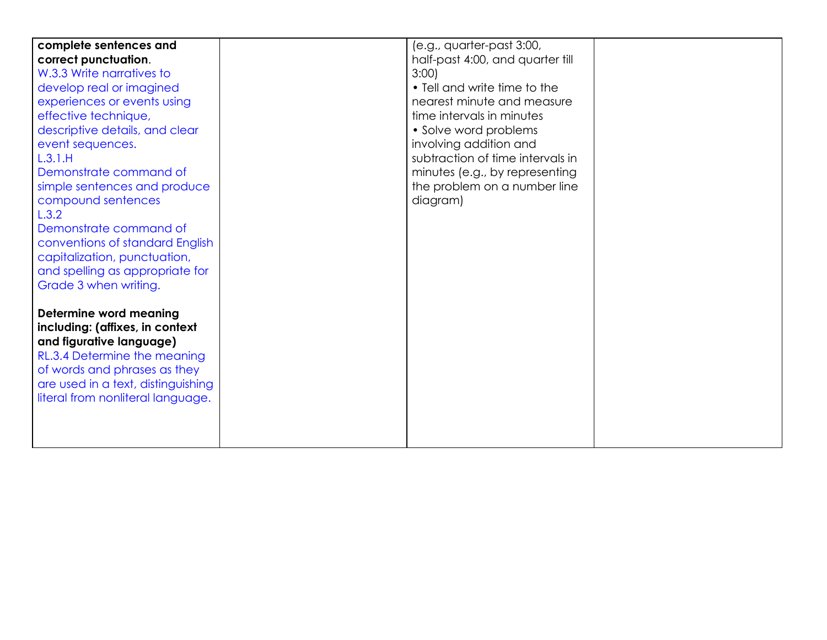| complete sentences and             | (e.g., quarter-past 3:00,        |
|------------------------------------|----------------------------------|
|                                    |                                  |
| correct punctuation.               | half-past 4:00, and quarter till |
| W.3.3 Write narratives to          | 3:00                             |
| develop real or imagined           | • Tell and write time to the     |
| experiences or events using        | nearest minute and measure       |
| effective technique,               | time intervals in minutes        |
| descriptive details, and clear     | • Solve word problems            |
| event sequences.                   | involving addition and           |
| L.3.1.H                            | subtraction of time intervals in |
| Demonstrate command of             | minutes (e.g., by representing   |
| simple sentences and produce       | the problem on a number line     |
| compound sentences                 | diagram)                         |
| L.3.2                              |                                  |
| Demonstrate command of             |                                  |
| conventions of standard English    |                                  |
| capitalization, punctuation,       |                                  |
| and spelling as appropriate for    |                                  |
|                                    |                                  |
| Grade 3 when writing.              |                                  |
|                                    |                                  |
| <b>Determine word meaning</b>      |                                  |
| including: (affixes, in context    |                                  |
| and figurative language)           |                                  |
| RL.3.4 Determine the meaning       |                                  |
| of words and phrases as they       |                                  |
| are used in a text, distinguishing |                                  |
| literal from nonliteral language.  |                                  |
|                                    |                                  |
|                                    |                                  |
|                                    |                                  |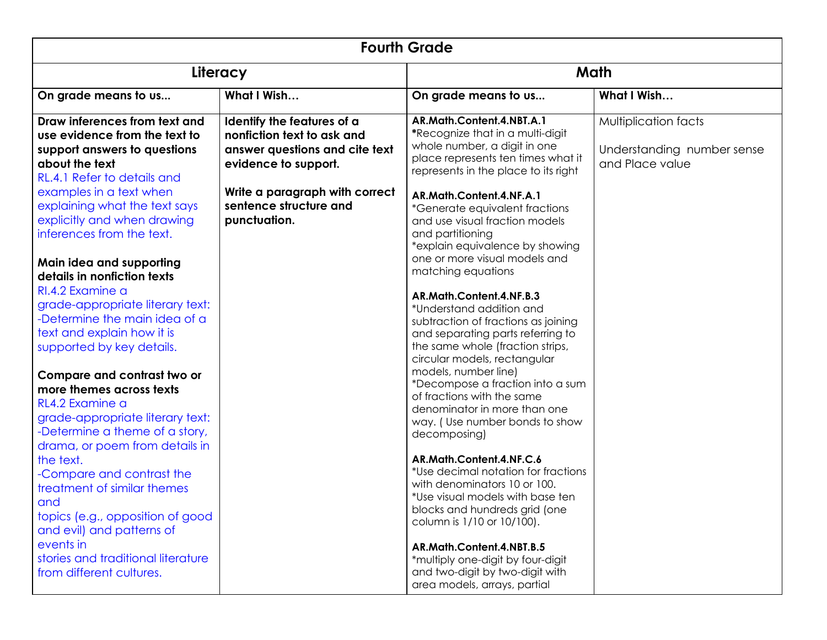| <b>Fourth Grade</b>                                                                                                                                                                                                                                                                                                                                                                                                                                                                                                                                                                                                                                                                                                                                                                                                                                                                                          |                                                                                                                                                                                                |                                                                                                                                                                                                                                                                                                                                                                                                                                                                                                                                                                                                                                                                                                                                                                                                                                                                                                                                                                                                                                                                                                                                 |                                                                       |  |
|--------------------------------------------------------------------------------------------------------------------------------------------------------------------------------------------------------------------------------------------------------------------------------------------------------------------------------------------------------------------------------------------------------------------------------------------------------------------------------------------------------------------------------------------------------------------------------------------------------------------------------------------------------------------------------------------------------------------------------------------------------------------------------------------------------------------------------------------------------------------------------------------------------------|------------------------------------------------------------------------------------------------------------------------------------------------------------------------------------------------|---------------------------------------------------------------------------------------------------------------------------------------------------------------------------------------------------------------------------------------------------------------------------------------------------------------------------------------------------------------------------------------------------------------------------------------------------------------------------------------------------------------------------------------------------------------------------------------------------------------------------------------------------------------------------------------------------------------------------------------------------------------------------------------------------------------------------------------------------------------------------------------------------------------------------------------------------------------------------------------------------------------------------------------------------------------------------------------------------------------------------------|-----------------------------------------------------------------------|--|
|                                                                                                                                                                                                                                                                                                                                                                                                                                                                                                                                                                                                                                                                                                                                                                                                                                                                                                              | Literacy                                                                                                                                                                                       |                                                                                                                                                                                                                                                                                                                                                                                                                                                                                                                                                                                                                                                                                                                                                                                                                                                                                                                                                                                                                                                                                                                                 | Math                                                                  |  |
| On grade means to us                                                                                                                                                                                                                                                                                                                                                                                                                                                                                                                                                                                                                                                                                                                                                                                                                                                                                         | What I Wish                                                                                                                                                                                    | On grade means to us                                                                                                                                                                                                                                                                                                                                                                                                                                                                                                                                                                                                                                                                                                                                                                                                                                                                                                                                                                                                                                                                                                            | What I Wish                                                           |  |
| Draw inferences from text and<br>use evidence from the text to<br>support answers to questions<br>about the text<br>RL.4.1 Refer to details and<br>examples in a text when<br>explaining what the text says<br>explicitly and when drawing<br>inferences from the text.<br>Main idea and supporting<br>details in nonfiction texts<br>RI.4.2 Examine a<br>grade-appropriate literary text:<br>-Determine the main idea of a<br>text and explain how it is<br>supported by key details.<br>Compare and contrast two or<br>more themes across texts<br>RL4.2 Examine a<br>grade-appropriate literary text:<br>-Determine a theme of a story,<br>drama, or poem from details in<br>the text.<br>-Compare and contrast the<br>treatment of similar themes<br>and<br>topics (e.g., opposition of good<br>and evil) and patterns of<br>events in<br>stories and traditional literature<br>from different cultures. | Identify the features of a<br>nonfiction text to ask and<br>answer questions and cite text<br>evidence to support.<br>Write a paragraph with correct<br>sentence structure and<br>punctuation. | AR.Math.Content.4.NBT.A.1<br>*Recognize that in a multi-digit<br>whole number, a digit in one<br>place represents ten times what it<br>represents in the place to its right<br>AR.Math.Content.4.NF.A.1<br><i>*Generate equivalent fractions</i><br>and use visual fraction models<br>and partitioning<br>*explain equivalence by showing<br>one or more visual models and<br>matching equations<br>AR.Math.Content.4.NF.B.3<br>*Understand addition and<br>subtraction of fractions as joining<br>and separating parts referring to<br>the same whole (fraction strips,<br>circular models, rectangular<br>models, number line)<br>*Decompose a fraction into a sum<br>of fractions with the same<br>denominator in more than one<br>way. (Use number bonds to show<br>decomposing)<br>AR.Math.Content.4.NF.C.6<br>*Use decimal notation for fractions<br>with denominators 10 or 100.<br>*Use visual models with base ten<br>blocks and hundreds grid (one<br>column is 1/10 or 10/100).<br>AR.Math.Content.4.NBT.B.5<br>*multiply one-digit by four-digit<br>and two-digit by two-digit with<br>area models, arrays, partial | Multiplication facts<br>Understanding number sense<br>and Place value |  |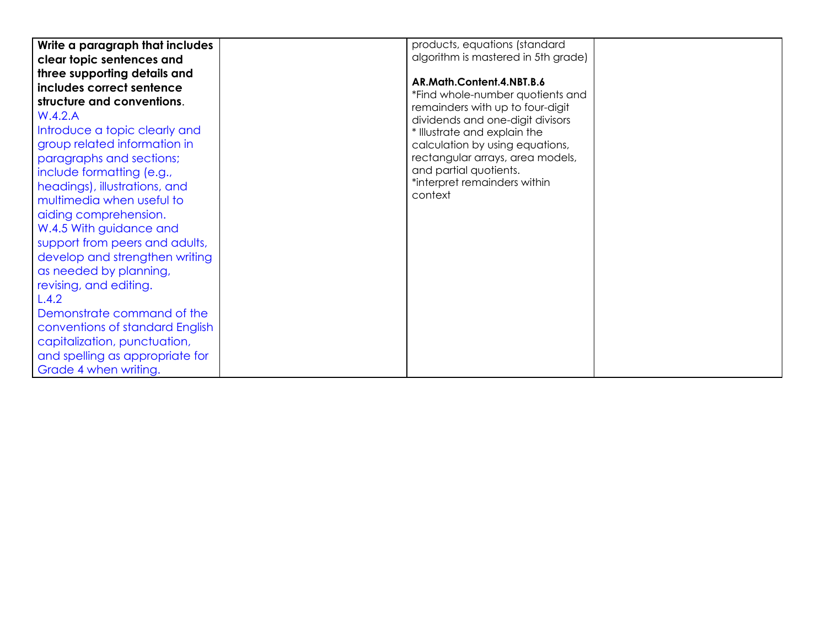| Write a paragraph that includes | products, equations (standard       |  |
|---------------------------------|-------------------------------------|--|
|                                 |                                     |  |
| clear topic sentences and       | algorithm is mastered in 5th grade) |  |
| three supporting details and    |                                     |  |
| includes correct sentence       | AR.Math.Content.4.NBT.B.6           |  |
| structure and conventions.      | *Find whole-number quotients and    |  |
|                                 | remainders with up to four-digit    |  |
| W.4.2.A                         | dividends and one-digit divisors    |  |
| Introduce a topic clearly and   | * Illustrate and explain the        |  |
| group related information in    | calculation by using equations,     |  |
| paragraphs and sections;        | rectangular arrays, area models,    |  |
| include formatting (e.g.,       | and partial quotients.              |  |
| headings), illustrations, and   | *interpret remainders within        |  |
|                                 | context                             |  |
| multimedia when useful to       |                                     |  |
| aiding comprehension.           |                                     |  |
| W.4.5 With guidance and         |                                     |  |
| support from peers and adults,  |                                     |  |
| develop and strengthen writing  |                                     |  |
| as needed by planning,          |                                     |  |
| revising, and editing.          |                                     |  |
| L.4.2                           |                                     |  |
| Demonstrate command of the      |                                     |  |
| conventions of standard English |                                     |  |
| capitalization, punctuation,    |                                     |  |
| and spelling as appropriate for |                                     |  |
| Grade 4 when writing.           |                                     |  |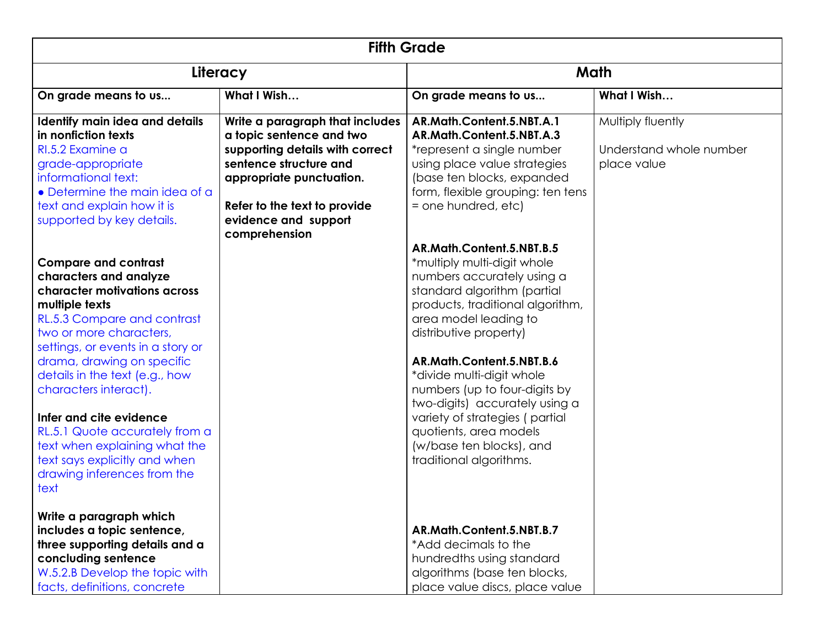| <b>Fifth Grade</b>                                                                                                                                                                                                                                                                                                                                                                                                                                            |                                                                                                                                                                                                                               |                                                                                                                                                                                                                                                                                                                                                                                                                                                              |                                                             |
|---------------------------------------------------------------------------------------------------------------------------------------------------------------------------------------------------------------------------------------------------------------------------------------------------------------------------------------------------------------------------------------------------------------------------------------------------------------|-------------------------------------------------------------------------------------------------------------------------------------------------------------------------------------------------------------------------------|--------------------------------------------------------------------------------------------------------------------------------------------------------------------------------------------------------------------------------------------------------------------------------------------------------------------------------------------------------------------------------------------------------------------------------------------------------------|-------------------------------------------------------------|
| Literacy                                                                                                                                                                                                                                                                                                                                                                                                                                                      |                                                                                                                                                                                                                               | Math                                                                                                                                                                                                                                                                                                                                                                                                                                                         |                                                             |
| On grade means to us                                                                                                                                                                                                                                                                                                                                                                                                                                          | What I Wish                                                                                                                                                                                                                   | On grade means to us                                                                                                                                                                                                                                                                                                                                                                                                                                         | What I Wish                                                 |
| Identify main idea and details<br>in nonfiction texts<br>RI.5.2 Examine a<br>grade-appropriate<br>informational text:<br>• Determine the main idea of a<br>text and explain how it is<br>supported by key details.                                                                                                                                                                                                                                            | Write a paragraph that includes<br>a topic sentence and two<br>supporting details with correct<br>sentence structure and<br>appropriate punctuation.<br>Refer to the text to provide<br>evidence and support<br>comprehension | AR.Math.Content.5.NBT.A.1<br>AR.Math.Content.5.NBT.A.3<br>*represent a single number<br>using place value strategies<br>(base ten blocks, expanded<br>form, flexible grouping: ten tens<br>= one hundred, etc)                                                                                                                                                                                                                                               | Multiply fluently<br>Understand whole number<br>place value |
| <b>Compare and contrast</b><br>characters and analyze<br>character motivations across<br>multiple texts<br>RL.5.3 Compare and contrast<br>two or more characters.<br>settings, or events in a story or<br>drama, drawing on specific<br>details in the text (e.g., how<br>characters interact).<br>Infer and cite evidence<br>RL.5.1 Quote accurately from a<br>text when explaining what the<br>text says explicitly and when<br>drawing inferences from the |                                                                                                                                                                                                                               | AR.Math.Content.5.NBT.B.5<br>*multiply multi-digit whole<br>numbers accurately using a<br>standard algorithm (partial<br>products, traditional algorithm,<br>area model leading to<br>distributive property)<br>AR.Math.Content.5.NBT.B.6<br>*divide multi-digit whole<br>numbers (up to four-digits by<br>two-digits) accurately using a<br>variety of strategies (partial<br>quotients, area models<br>(w/base ten blocks), and<br>traditional algorithms. |                                                             |
| text<br>Write a paragraph which<br>includes a topic sentence,<br>three supporting details and a<br>concluding sentence<br>W.5.2.B Develop the topic with<br>facts, definitions, concrete                                                                                                                                                                                                                                                                      |                                                                                                                                                                                                                               | AR.Math.Content.5.NBT.B.7<br>*Add decimals to the<br>hundredths using standard<br>algorithms (base ten blocks,<br>place value discs, place value                                                                                                                                                                                                                                                                                                             |                                                             |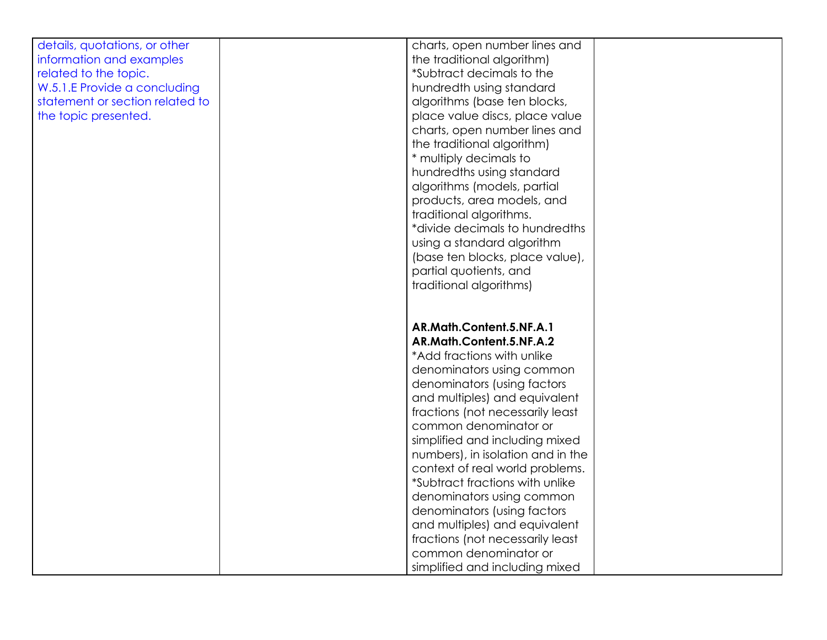| details, quotations, or other   | charts, open number lines and                                      |
|---------------------------------|--------------------------------------------------------------------|
| information and examples        | the traditional algorithm)                                         |
| related to the topic.           | *Subtract decimals to the                                          |
| W.5.1.E Provide a concluding    | hundredth using standard                                           |
| statement or section related to | algorithms (base ten blocks,                                       |
| the topic presented.            | place value discs, place value                                     |
|                                 | charts, open number lines and                                      |
|                                 | the traditional algorithm)                                         |
|                                 | * multiply decimals to                                             |
|                                 | hundredths using standard                                          |
|                                 | algorithms (models, partial                                        |
|                                 | products, area models, and                                         |
|                                 | traditional algorithms.                                            |
|                                 | *divide decimals to hundredths                                     |
|                                 | using a standard algorithm                                         |
|                                 |                                                                    |
|                                 | (base ten blocks, place value),                                    |
|                                 | partial quotients, and                                             |
|                                 | traditional algorithms)                                            |
|                                 |                                                                    |
|                                 | AR.Math.Content.5.NF.A.1                                           |
|                                 | AR.Math.Content.5.NF.A.2                                           |
|                                 | *Add fractions with unlike                                         |
|                                 | denominators using common                                          |
|                                 | denominators (using factors                                        |
|                                 | and multiples) and equivalent                                      |
|                                 |                                                                    |
|                                 | fractions (not necessarily least<br>common denominator or          |
|                                 |                                                                    |
|                                 | simplified and including mixed                                     |
|                                 | numbers), in isolation and in the                                  |
|                                 | context of real world problems.<br>*Subtract fractions with unlike |
|                                 |                                                                    |
|                                 | denominators using common                                          |
|                                 | denominators (using factors                                        |
|                                 | and multiples) and equivalent                                      |
|                                 | fractions (not necessarily least<br>common denominator or          |
|                                 |                                                                    |
|                                 | simplified and including mixed                                     |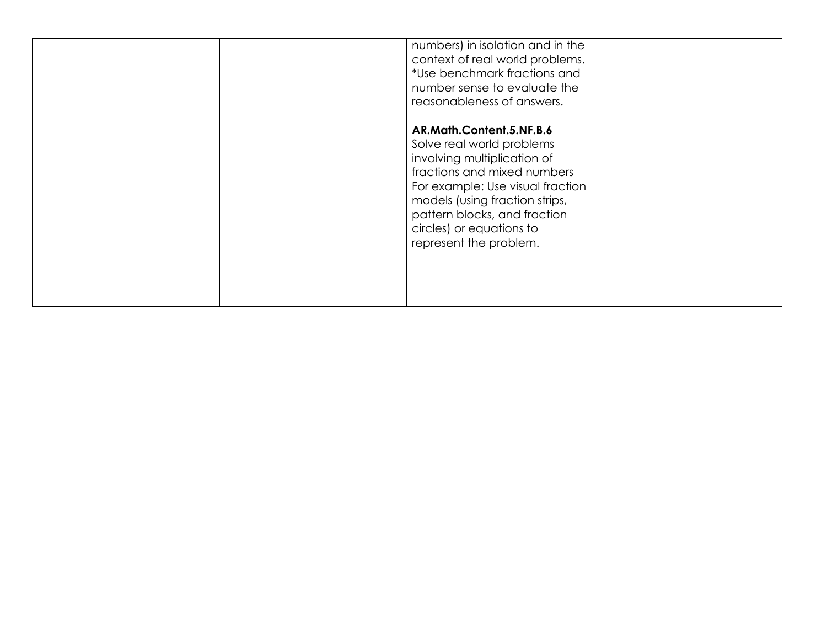|  | numbers) in isolation and in the<br>context of real world problems.<br>*Use benchmark fractions and<br>number sense to evaluate the<br>reasonableness of answers.                                                                                                               |  |
|--|---------------------------------------------------------------------------------------------------------------------------------------------------------------------------------------------------------------------------------------------------------------------------------|--|
|  | AR.Math.Content.5.NF.B.6<br>Solve real world problems<br>involving multiplication of<br>fractions and mixed numbers<br>For example: Use visual fraction<br>models (using fraction strips,<br>pattern blocks, and fraction<br>circles) or equations to<br>represent the problem. |  |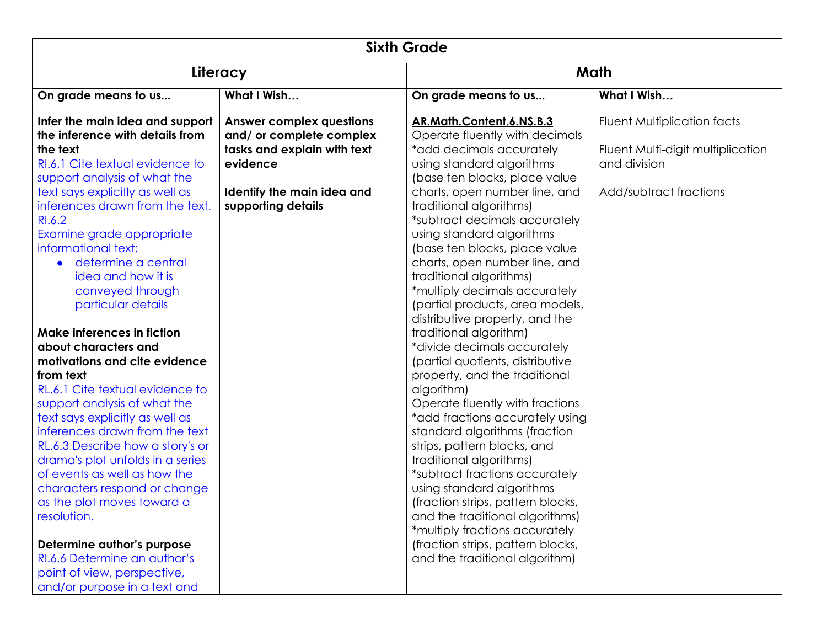| <b>Sixth Grade</b>                                                                                                                                                                                                                                                                                                                                                                                                                                          |                                                                                            |                                                                                                                                                                                                                                                                                                                                                                                                                                                                                                                         |                                                                         |  |  |  |
|-------------------------------------------------------------------------------------------------------------------------------------------------------------------------------------------------------------------------------------------------------------------------------------------------------------------------------------------------------------------------------------------------------------------------------------------------------------|--------------------------------------------------------------------------------------------|-------------------------------------------------------------------------------------------------------------------------------------------------------------------------------------------------------------------------------------------------------------------------------------------------------------------------------------------------------------------------------------------------------------------------------------------------------------------------------------------------------------------------|-------------------------------------------------------------------------|--|--|--|
| Literacy                                                                                                                                                                                                                                                                                                                                                                                                                                                    |                                                                                            | Math                                                                                                                                                                                                                                                                                                                                                                                                                                                                                                                    |                                                                         |  |  |  |
| On grade means to us                                                                                                                                                                                                                                                                                                                                                                                                                                        | What I Wish                                                                                | On grade means to us                                                                                                                                                                                                                                                                                                                                                                                                                                                                                                    | What I Wish                                                             |  |  |  |
| Infer the main idea and support<br>the inference with details from<br>the text                                                                                                                                                                                                                                                                                                                                                                              | <b>Answer complex questions</b><br>and/ or complete complex<br>tasks and explain with text | AR.Math.Content.6.NS.B.3<br>Operate fluently with decimals<br>*add decimals accurately                                                                                                                                                                                                                                                                                                                                                                                                                                  | <b>Fluent Multiplication facts</b><br>Fluent Multi-digit multiplication |  |  |  |
| RI.6.1 Cite textual evidence to<br>support analysis of what the<br>text says explicitly as well as                                                                                                                                                                                                                                                                                                                                                          | evidence<br>Identify the main idea and                                                     | using standard algorithms<br>(base ten blocks, place value<br>charts, open number line, and                                                                                                                                                                                                                                                                                                                                                                                                                             | and division<br>Add/subtract fractions                                  |  |  |  |
| inferences drawn from the text.<br>RI.6.2<br>Examine grade appropriate<br>informational text:<br>determine a central<br>idea and how it is<br>conveyed through<br>particular details                                                                                                                                                                                                                                                                        | supporting details                                                                         | traditional algorithms)<br>*subtract decimals accurately<br>using standard algorithms<br>(base ten blocks, place value<br>charts, open number line, and<br>traditional algorithms)<br>*multiply decimals accurately<br>(partial products, area models,<br>distributive property, and the                                                                                                                                                                                                                                |                                                                         |  |  |  |
| Make inferences in fiction<br>about characters and<br>motivations and cite evidence<br>from text<br>RL.6.1 Cite textual evidence to<br>support analysis of what the<br>text says explicitly as well as<br>inferences drawn from the text<br>RL.6.3 Describe how a story's or<br>drama's plot unfolds in a series<br>of events as well as how the<br>characters respond or change<br>as the plot moves toward a<br>resolution.<br>Determine author's purpose |                                                                                            | traditional algorithm)<br>*divide decimals accurately<br>(partial quotients, distributive<br>property, and the traditional<br>algorithm)<br>Operate fluently with fractions<br>*add fractions accurately using<br>standard algorithms (fraction<br>strips, pattern blocks, and<br>traditional algorithms)<br>*subtract fractions accurately<br>using standard algorithms<br>(fraction strips, pattern blocks,<br>and the traditional algorithms)<br>*multiply fractions accurately<br>(fraction strips, pattern blocks, |                                                                         |  |  |  |
| RI.6.6 Determine an author's<br>point of view, perspective,<br>and/or purpose in a text and                                                                                                                                                                                                                                                                                                                                                                 |                                                                                            | and the traditional algorithm)                                                                                                                                                                                                                                                                                                                                                                                                                                                                                          |                                                                         |  |  |  |